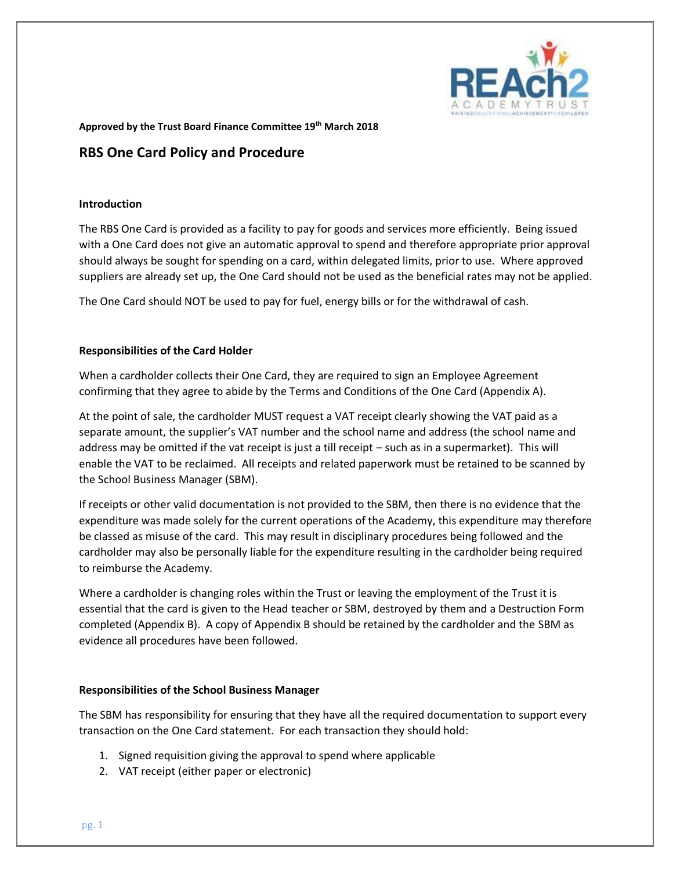

**Approved by the Trust Board Finance Committee 19th March 2018**

### **RBS One Card Policy and Procedure**

#### **Introduction**

The RBS One Card is provided as a facility to pay for goods and services more efficiently. Being issued with a One Card does not give an automatic approval to spend and therefore appropriate prior approval should always be sought for spending on a card, within delegated limits, prior to use. Where approved suppliers are already set up, the One Card should not be used as the beneficial rates may not be applied.

The One Card should NOT be used to pay for fuel, energy bills or for the withdrawal of cash.

#### **Responsibilities of the Card Holder**

When a cardholder collects their One Card, they are required to sign an Employee Agreement confirming that they agree to abide by the Terms and Conditions of the One Card (Appendix A).

At the point of sale, the cardholder MUST request a VAT receipt clearly showing the VAT paid as a separate amount, the supplier's VAT number and the school name and address (the school name and address may be omitted if the vat receipt is just a till receipt – such as in a supermarket). This will enable the VAT to be reclaimed. All receipts and related paperwork must be retained to be scanned by the School Business Manager (SBM).

If receipts or other valid documentation is not provided to the SBM, then there is no evidence that the expenditure was made solely for the current operations of the Academy, this expenditure may therefore be classed as misuse of the card. This may result in disciplinary procedures being followed and the cardholder may also be personally liable for the expenditure resulting in the cardholder being required to reimburse the Academy.

Where a cardholder is changing roles within the Trust or leaving the employment of the Trust it is essential that the card is given to the Head teacher or SBM, destroyed by them and a Destruction Form completed (Appendix B). A copy of Appendix B should be retained by the cardholder and the SBM as evidence all procedures have been followed.

#### **Responsibilities of the School Business Manager**

The SBM has responsibility for ensuring that they have all the required documentation to support every transaction on the One Card statement. For each transaction they should hold:

- 1. Signed requisition giving the approval to spend where applicable
- 2. VAT receipt (either paper or electronic)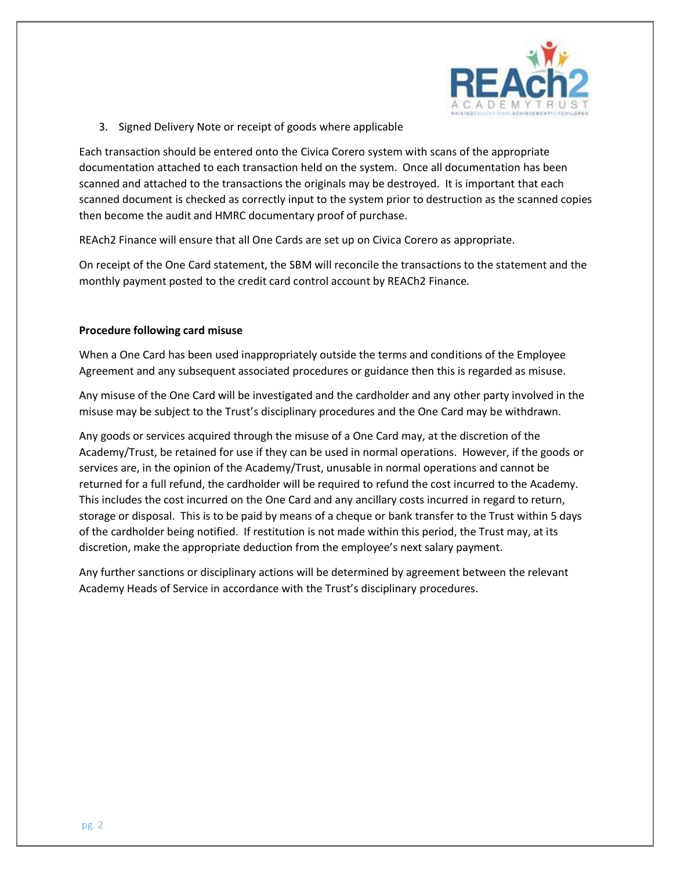

3. Signed Delivery Note or receipt of goods where applicable

Each transaction should be entered onto the Civica Corero system with scans of the appropriate documentation attached to each transaction held on the system. Once all documentation has been scanned and attached to the transactions the originals may be destroyed. It is important that each scanned document is checked as correctly input to the system prior to destruction as the scanned copies then become the audit and HMRC documentary proof of purchase.

REAch2 Finance will ensure that all One Cards are set up on Civica Corero as appropriate.

On receipt of the One Card statement, the SBM will reconcile the transactions to the statement and the monthly payment posted to the credit card control account by REACh2 Finance.

#### **Procedure following card misuse**

When a One Card has been used inappropriately outside the terms and conditions of the Employee Agreement and any subsequent associated procedures or guidance then this is regarded as misuse.

Any misuse of the One Card will be investigated and the cardholder and any other party involved in the misuse may be subject to the Trust's disciplinary procedures and the One Card may be withdrawn.

Any goods or services acquired through the misuse of a One Card may, at the discretion of the Academy/Trust, be retained for use if they can be used in normal operations. However, if the goods or services are, in the opinion of the Academy/Trust, unusable in normal operations and cannot be returned for a full refund, the cardholder will be required to refund the cost incurred to the Academy. This includes the cost incurred on the One Card and any ancillary costs incurred in regard to return, storage or disposal. This is to be paid by means of a cheque or bank transfer to the Trust within 5 days of the cardholder being notified. If restitution is not made within this period, the Trust may, at its discretion, make the appropriate deduction from the employee's next salary payment.

Any further sanctions or disciplinary actions will be determined by agreement between the relevant Academy Heads of Service in accordance with the Trust's disciplinary procedures.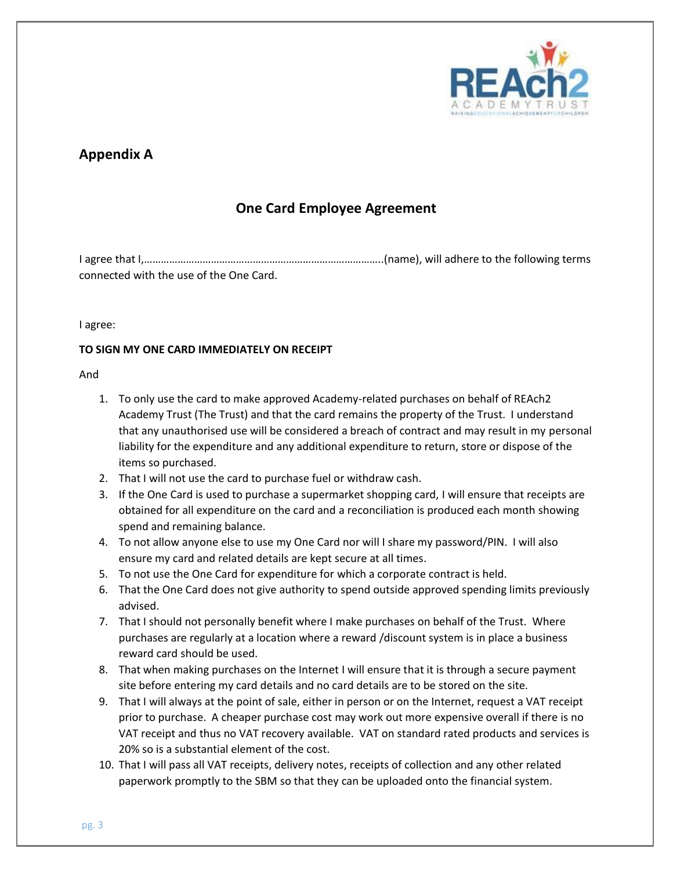

## **Appendix A**

## **One Card Employee Agreement**

I agree that I,…………………………………………………………………………..(name), will adhere to the following terms connected with the use of the One Card.

#### I agree:

#### **TO SIGN MY ONE CARD IMMEDIATELY ON RECEIPT**

#### And

- 1. To only use the card to make approved Academy-related purchases on behalf of REAch2 Academy Trust (The Trust) and that the card remains the property of the Trust. I understand that any unauthorised use will be considered a breach of contract and may result in my personal liability for the expenditure and any additional expenditure to return, store or dispose of the items so purchased.
- 2. That I will not use the card to purchase fuel or withdraw cash.
- 3. If the One Card is used to purchase a supermarket shopping card, I will ensure that receipts are obtained for all expenditure on the card and a reconciliation is produced each month showing spend and remaining balance.
- 4. To not allow anyone else to use my One Card nor will I share my password/PIN. I will also ensure my card and related details are kept secure at all times.
- 5. To not use the One Card for expenditure for which a corporate contract is held.
- 6. That the One Card does not give authority to spend outside approved spending limits previously advised.
- 7. That I should not personally benefit where I make purchases on behalf of the Trust. Where purchases are regularly at a location where a reward /discount system is in place a business reward card should be used.
- 8. That when making purchases on the Internet I will ensure that it is through a secure payment site before entering my card details and no card details are to be stored on the site.
- 9. That I will always at the point of sale, either in person or on the Internet, request a VAT receipt prior to purchase. A cheaper purchase cost may work out more expensive overall if there is no VAT receipt and thus no VAT recovery available. VAT on standard rated products and services is 20% so is a substantial element of the cost.
- 10. That I will pass all VAT receipts, delivery notes, receipts of collection and any other related paperwork promptly to the SBM so that they can be uploaded onto the financial system.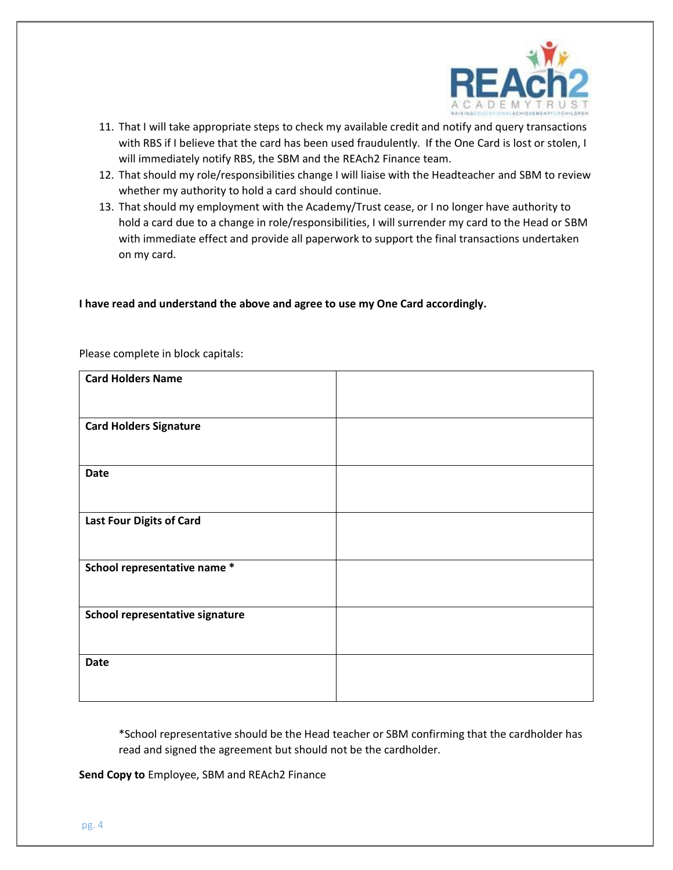

- 11. That I will take appropriate steps to check my available credit and notify and query transactions with RBS if I believe that the card has been used fraudulently. If the One Card is lost or stolen, I will immediately notify RBS, the SBM and the REAch2 Finance team.
- 12. That should my role/responsibilities change I will liaise with the Headteacher and SBM to review whether my authority to hold a card should continue.
- 13. That should my employment with the Academy/Trust cease, or I no longer have authority to hold a card due to a change in role/responsibilities, I will surrender my card to the Head or SBM with immediate effect and provide all paperwork to support the final transactions undertaken on my card.

#### **I have read and understand the above and agree to use my One Card accordingly.**

| <b>Card Holders Name</b>        |  |
|---------------------------------|--|
|                                 |  |
| <b>Card Holders Signature</b>   |  |
|                                 |  |
| <b>Date</b>                     |  |
|                                 |  |
| <b>Last Four Digits of Card</b> |  |
|                                 |  |
| School representative name *    |  |
|                                 |  |
| School representative signature |  |
|                                 |  |
| <b>Date</b>                     |  |
|                                 |  |
|                                 |  |

Please complete in block capitals:

\*School representative should be the Head teacher or SBM confirming that the cardholder has read and signed the agreement but should not be the cardholder.

**Send Copy to** Employee, SBM and REAch2 Finance